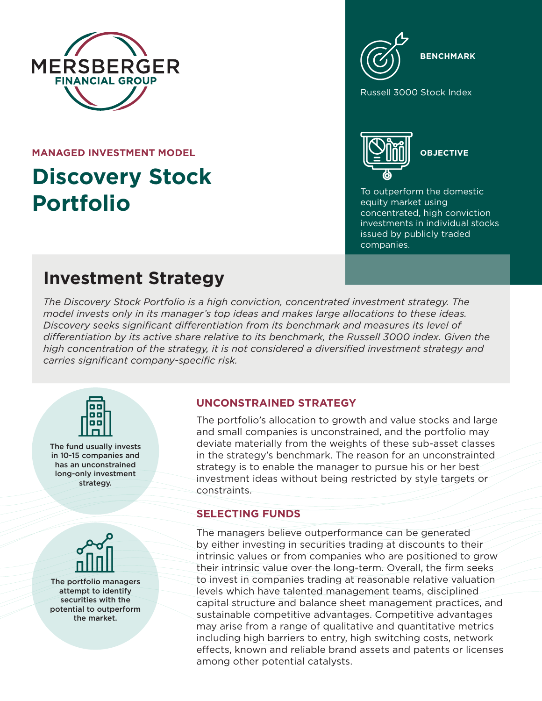

**MANAGED INVESTMENT MODEL**

# **Discovery Stock Portfolio**

**BENCHMARK**

Russell 3000 Stock Index



**OBJECTIVE**

To outperform the domestic equity market using concentrated, high conviction investments in individual stocks issued by publicly traded companies.

## **Investment Strategy**

*The Discovery Stock Portfolio is a high conviction, concentrated investment strategy. The model invests only in its manager's top ideas and makes large allocations to these ideas. Discovery seeks significant differentiation from its benchmark and measures its level of differentiation by its active share relative to its benchmark, the Russell 3000 index. Given the high concentration of the strategy, it is not considered a diversified investment strategy and carries significant company-specific risk.*



The fund usually invests in 10-15 companies and has an unconstrained long-only investment strategy.



The portfolio managers attempt to identify securities with the potential to outperform the market.

#### **UNCONSTRAINED STRATEGY**

The portfolio's allocation to growth and value stocks and large and small companies is unconstrained, and the portfolio may deviate materially from the weights of these sub-asset classes in the strategy's benchmark. The reason for an unconstrainted strategy is to enable the manager to pursue his or her best investment ideas without being restricted by style targets or constraints.

### **SELECTING FUNDS**

The managers believe outperformance can be generated by either investing in securities trading at discounts to their intrinsic values or from companies who are positioned to grow their intrinsic value over the long-term. Overall, the firm seeks to invest in companies trading at reasonable relative valuation levels which have talented management teams, disciplined capital structure and balance sheet management practices, and sustainable competitive advantages. Competitive advantages may arise from a range of qualitative and quantitative metrics including high barriers to entry, high switching costs, network effects, known and reliable brand assets and patents or licenses among other potential catalysts.